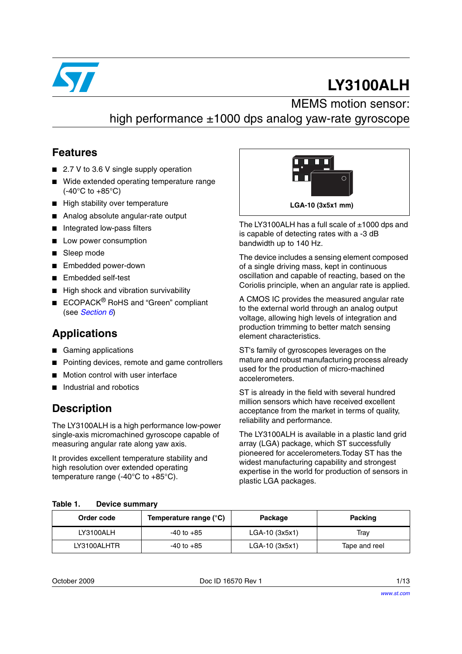

# **LY3100ALH**

#### MEMS motion sensor: high performance ±1000 dps analog yaw-rate gyroscope

#### **Features**

- 2.7 V to 3.6 V single supply operation
- Wide extended operating temperature range (-40°C to +85°C)
- High stability over temperature
- Analog absolute angular-rate output
- Integrated low-pass filters
- Low power consumption
- Sleep mode
- Embedded power-down
- Embedded self-test
- High shock and vibration survivability
- ECOPACK<sup>®</sup> RoHS and "Green" compliant (see *[Section 6](#page-10-0)*)

#### **Applications**

- Gaming applications
- Pointing devices, remote and game controllers
- Motion control with user interface
- Industrial and robotics

#### **Description**

The LY3100ALH is a high performance low-power single-axis micromachined gyroscope capable of measuring angular rate along yaw axis.

It provides excellent temperature stability and high resolution over extended operating temperature range  $(-40^{\circ}$ C to  $+85^{\circ}$ C).



The LY3100ALH has a full scale of  $\pm$ 1000 dps and is capable of detecting rates with a -3 dB bandwidth up to 140 Hz.

The device includes a sensing element composed of a single driving mass, kept in continuous oscillation and capable of reacting, based on the Coriolis principle, when an angular rate is applied.

A CMOS IC provides the measured angular rate to the external world through an analog output voltage, allowing high levels of integration and production trimming to better match sensing element characteristics.

ST's family of gyroscopes leverages on the mature and robust manufacturing process already used for the production of micro-machined accelerometers.

ST is already in the field with several hundred million sensors which have received excellent acceptance from the market in terms of quality, reliability and performance.

The LY3100ALH is available in a plastic land grid array (LGA) package, which ST successfully pioneered for accelerometers.Today ST has the widest manufacturing capability and strongest expertise in the world for production of sensors in plastic LGA packages.

#### **Table 1. Device summary**

| Order code  | Temperature range (°C) | Package        | <b>Packing</b> |
|-------------|------------------------|----------------|----------------|
| LY3100ALH   | -40 to +85             | LGA-10 (3x5x1) | Trav           |
| LY3100ALHTR | $-40$ to $+85$         | LGA-10 (3x5x1) | Tape and reel  |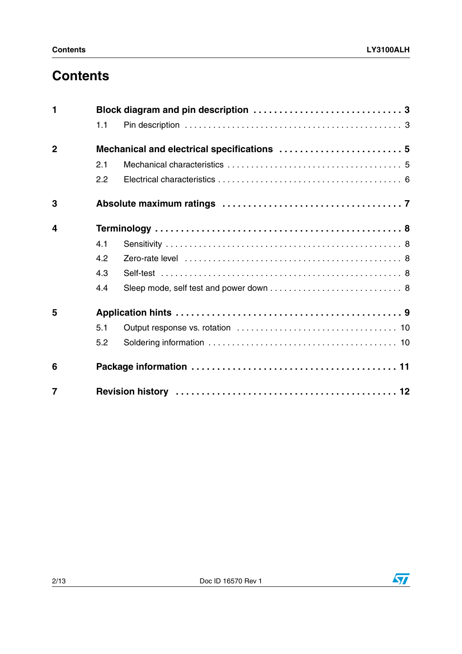## **Contents**

| $\blacksquare$ |     |                                             |  |  |  |  |
|----------------|-----|---------------------------------------------|--|--|--|--|
|                | 1.1 |                                             |  |  |  |  |
| $\overline{2}$ |     | Mechanical and electrical specifications  5 |  |  |  |  |
|                | 2.1 |                                             |  |  |  |  |
|                | 2.2 |                                             |  |  |  |  |
| 3              |     |                                             |  |  |  |  |
| 4              |     |                                             |  |  |  |  |
|                | 4.1 |                                             |  |  |  |  |
|                | 4.2 |                                             |  |  |  |  |
|                | 4.3 |                                             |  |  |  |  |
|                | 4.4 |                                             |  |  |  |  |
| 5              |     |                                             |  |  |  |  |
|                | 5.1 |                                             |  |  |  |  |
|                | 5.2 |                                             |  |  |  |  |
| 6              |     |                                             |  |  |  |  |
| $\overline{7}$ |     |                                             |  |  |  |  |

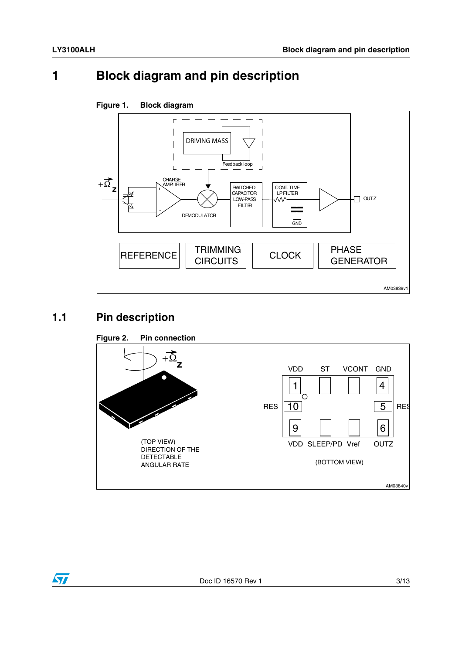### <span id="page-2-0"></span>**1 Block diagram and pin description**



## <span id="page-2-1"></span>**1.1 Pin description**

 $\sqrt{2}$ 



#### Doc ID 16570 Rev 1 3/13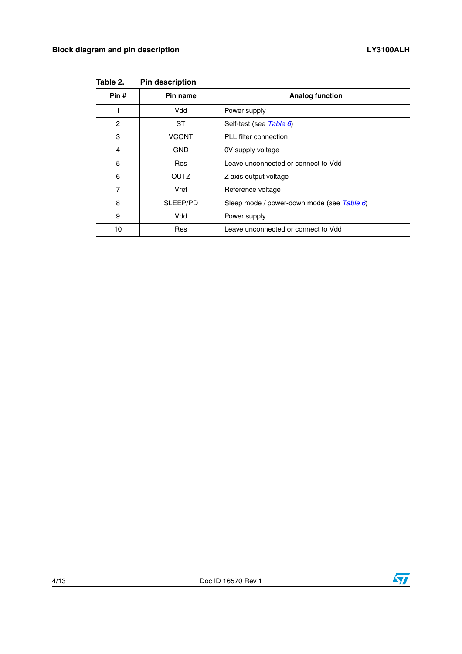| Pin# | Pin name<br><b>Analog function</b> |                                            |
|------|------------------------------------|--------------------------------------------|
|      | Vdd                                | Power supply                               |
| 2    | ST                                 | Self-test (see Table 6)                    |
| 3    | <b>VCONT</b>                       | PLL filter connection                      |
| 4    | GND                                | OV supply voltage                          |
| 5    | Res                                | Leave unconnected or connect to Vdd        |
| 6    | <b>OUTZ</b>                        | Z axis output voltage                      |
| 7    | Vref                               | Reference voltage                          |
| 8    | SLEEP/PD                           | Sleep mode / power-down mode (see Table 6) |
| 9    | Vdd                                | Power supply                               |
| 10   | Res                                | Leave unconnected or connect to Vdd        |

**Table 2. Pin description**

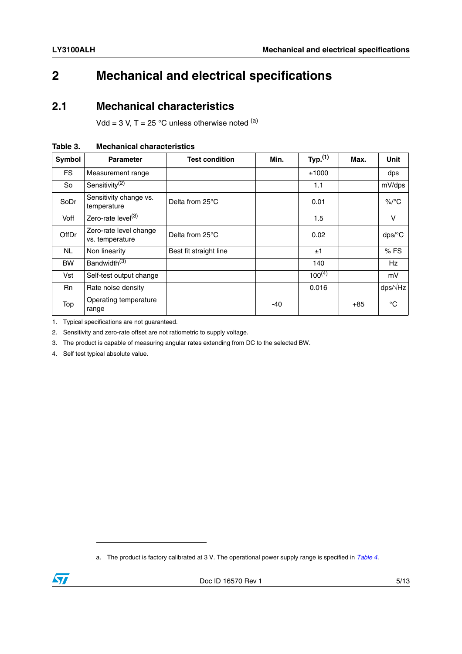## <span id="page-4-0"></span>**2 Mechanical and electrical specifications**

#### <span id="page-4-1"></span>**2.1 Mechanical characteristics**

Vdd = 3 V, T =  $25^{\circ}$ C unless otherwise noted <sup>(a)</sup>

| <b>Symbol</b> | <b>Parameter</b>                          | <b>Test condition</b>  | Min. | Typ. $(1)$  | Max.  | <b>Unit</b>     |
|---------------|-------------------------------------------|------------------------|------|-------------|-------|-----------------|
| <b>FS</b>     | Measurement range                         |                        |      | ±1000       |       | dps             |
| So            | Sensitivity <sup>(2)</sup>                |                        |      | 1.1         |       | mV/dps          |
| SoDr          | Sensitivity change vs.<br>temperature     | Delta from 25°C        |      | 0.01        |       | $\%$ /°C        |
| Voff          | Zero-rate level <sup>(3)</sup>            |                        |      | 1.5         |       | v               |
| OffDr         | Zero-rate level change<br>vs. temperature | Delta from 25°C        |      | 0.02        |       | dps/°C          |
| NL            | Non linearity                             | Best fit straight line |      | ±1          |       | %FS             |
| <b>BW</b>     | Bandwidth <sup>(3)</sup>                  |                        |      | 140         |       | Hz              |
| Vst           | Self-test output change                   |                        |      | $100^{(4)}$ |       | mV              |
| <b>Rn</b>     | Rate noise density                        |                        |      | 0.016       |       | $\frac{dp}{dx}$ |
| Top           | Operating temperature<br>range            |                        | -40  |             | $+85$ | $^{\circ}C$     |

#### <span id="page-4-2"></span>**Table 3. Mechanical characteristics**

1. Typical specifications are not guaranteed.

2. Sensitivity and zero-rate offset are not ratiometric to supply voltage.

3. The product is capable of measuring angular rates extending from DC to the selected BW.

4. Self test typical absolute value.

a. The product is factory calibrated at 3 V. The operational power supply range is specified in *[Table 4](#page-5-1)*.

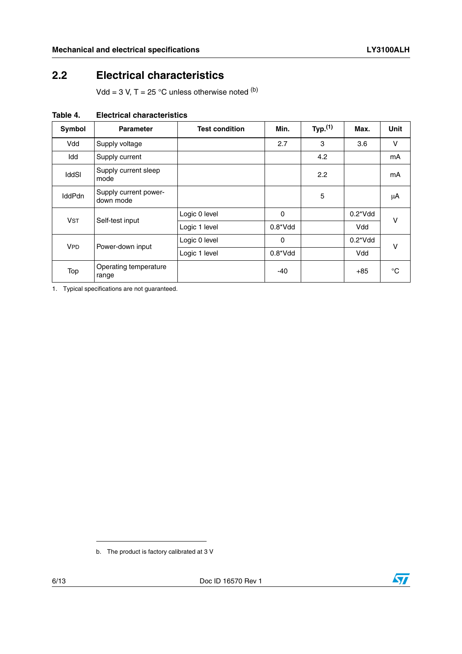#### <span id="page-5-0"></span>**2.2 Electrical characteristics**

Vdd = 3 V, T = 25 °C unless otherwise noted  $<sup>(b)</sup>$ </sup>

| Symbol                | <b>Parameter</b>                   | <b>Test condition</b> | Min.        | Typ. $(1)$ | Max.             | <b>Unit</b> |
|-----------------------|------------------------------------|-----------------------|-------------|------------|------------------|-------------|
| Vdd                   | Supply voltage                     |                       | 2.7         | 3          | 3.6              | v           |
| Idd                   | Supply current                     |                       |             | 4.2        |                  | mA          |
| <b>IddSI</b>          | Supply current sleep<br>mode       |                       |             | 2.2        |                  | mA          |
| <b>IddPdn</b>         | Supply current power-<br>down mode |                       |             | 5          |                  | μA          |
| <b>V<sub>ST</sub></b> | Self-test input                    | Logic 0 level         | 0           |            | $0.2^*V$ dd      | v           |
|                       |                                    | Logic 1 level         | $0.8^*V$ dd |            | Vdd              |             |
| <b>VPD</b>            | Power-down input                   | Logic 0 level         | 0           |            | $0.2^{\ast}$ Vdd | v           |
|                       |                                    | Logic 1 level         | $0.8^*V$ dd |            | Vdd              |             |
| Top                   | Operating temperature<br>range     |                       | $-40$       |            | $+85$            | °C          |

#### <span id="page-5-1"></span>**Table 4. Electrical characteristics**

1. Typical specifications are not guaranteed.

b. The product is factory calibrated at 3 V

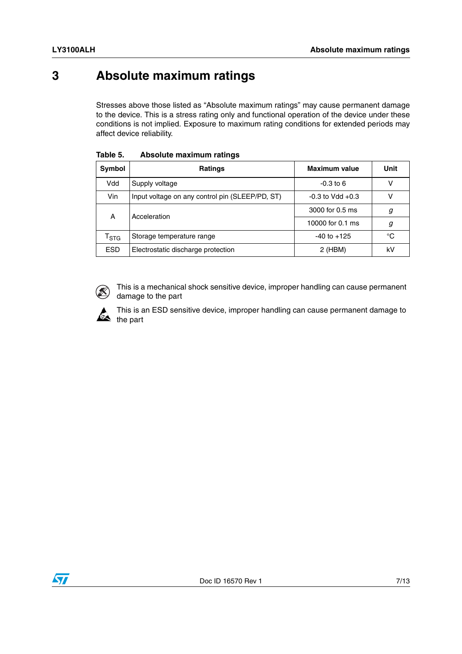### <span id="page-6-0"></span>**3 Absolute maximum ratings**

Stresses above those listed as "Absolute maximum ratings" may cause permanent damage to the device. This is a stress rating only and functional operation of the device under these conditions is not implied. Exposure to maximum rating conditions for extended periods may affect device reliability.

| Symbol           | Ratings                                         | <b>Maximum value</b> | Unit |
|------------------|-------------------------------------------------|----------------------|------|
| Vdd              | Supply voltage                                  | $-0.3$ to 6          | v    |
| Vin              | Input voltage on any control pin (SLEEP/PD, ST) | $-0.3$ to Vdd $+0.3$ | v    |
| A                | Acceleration                                    | 3000 for 0.5 ms      | g    |
|                  |                                                 | 10000 for 0.1 ms     | g    |
| $I_{\text{STG}}$ | Storage temperature range                       | $-40$ to $+125$      | °C   |
| <b>ESD</b>       | Electrostatic discharge protection              | $2$ (HBM)            | k٧   |

**Table 5. Absolute maximum ratings**



This is a mechanical shock sensitive device, improper handling can cause permanent damage to the part



This is an ESD sensitive device, improper handling can cause permanent damage to the part

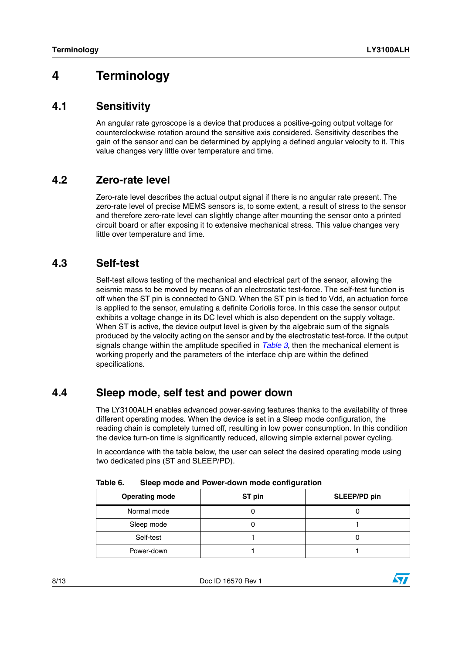#### <span id="page-7-0"></span>**4 Terminology**

#### <span id="page-7-1"></span>**4.1 Sensitivity**

An angular rate gyroscope is a device that produces a positive-going output voltage for counterclockwise rotation around the sensitive axis considered. Sensitivity describes the gain of the sensor and can be determined by applying a defined angular velocity to it. This value changes very little over temperature and time.

#### <span id="page-7-2"></span>**4.2 Zero-rate level**

Zero-rate level describes the actual output signal if there is no angular rate present. The zero-rate level of precise MEMS sensors is, to some extent, a result of stress to the sensor and therefore zero-rate level can slightly change after mounting the sensor onto a printed circuit board or after exposing it to extensive mechanical stress. This value changes very little over temperature and time.

#### <span id="page-7-3"></span>**4.3 Self-test**

Self-test allows testing of the mechanical and electrical part of the sensor, allowing the seismic mass to be moved by means of an electrostatic test-force. The self-test function is off when the ST pin is connected to GND. When the ST pin is tied to Vdd, an actuation force is applied to the sensor, emulating a definite Coriolis force. In this case the sensor output exhibits a voltage change in its DC level which is also dependent on the supply voltage. When ST is active, the device output level is given by the algebraic sum of the signals produced by the velocity acting on the sensor and by the electrostatic test-force. If the output signals change within the amplitude specified in *[Table 3](#page-4-2)*, then the mechanical element is working properly and the parameters of the interface chip are within the defined specifications.

#### <span id="page-7-4"></span>**4.4 Sleep mode, self test and power down**

The LY3100ALH enables advanced power-saving features thanks to the availability of three different operating modes. When the device is set in a Sleep mode configuration, the reading chain is completely turned off, resulting in low power consumption. In this condition the device turn-on time is significantly reduced, allowing simple external power cycling.

In accordance with the table below, the user can select the desired operating mode using two dedicated pins (ST and SLEEP/PD).

| <b>Operating mode</b> | ST pin | SLEEP/PD pin |
|-----------------------|--------|--------------|
| Normal mode           |        |              |
| Sleep mode            |        |              |
| Self-test             |        |              |
| Power-down            |        |              |

<span id="page-7-5"></span>**Table 6. Sleep mode and Power-down mode configuration**

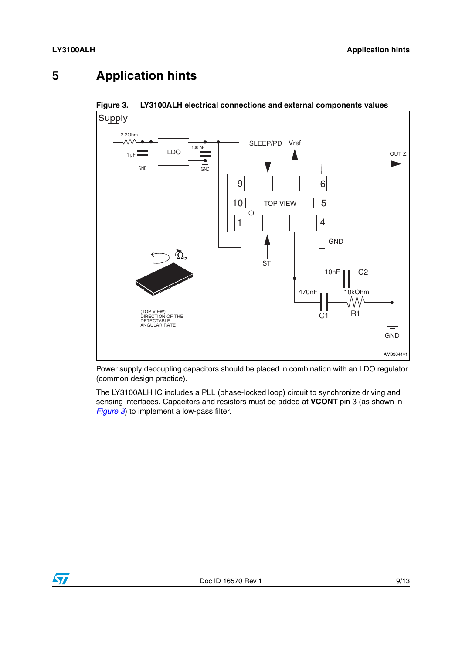## <span id="page-8-0"></span>**5 Application hints**



<span id="page-8-1"></span>**Figure 3. LY3100ALH electrical connections and external components values**

Power supply decoupling capacitors should be placed in combination with an LDO regulator (common design practice).

The LY3100ALH IC includes a PLL (phase-locked loop) circuit to synchronize driving and sensing interfaces. Capacitors and resistors must be added at **VCONT** pin 3 (as shown in *[Figure 3](#page-8-1)*) to implement a low-pass filter.

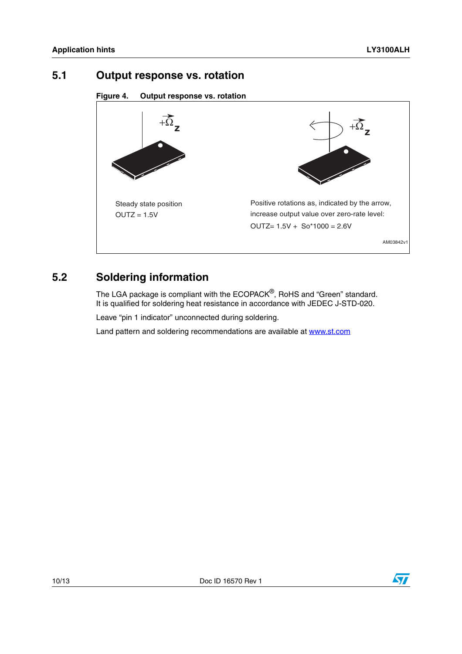#### <span id="page-9-0"></span>**5.1 Output response vs. rotation**

**Figure 4. Output response vs. rotation**



#### <span id="page-9-1"></span>**5.2 Soldering information**

The LGA package is compliant with the ECOPACK®, RoHS and "Green" standard. It is qualified for soldering heat resistance in accordance with JEDEC J-STD-020.

Leave "pin 1 indicator" unconnected during soldering.

Land pattern and soldering recommendations are available at www.st.com

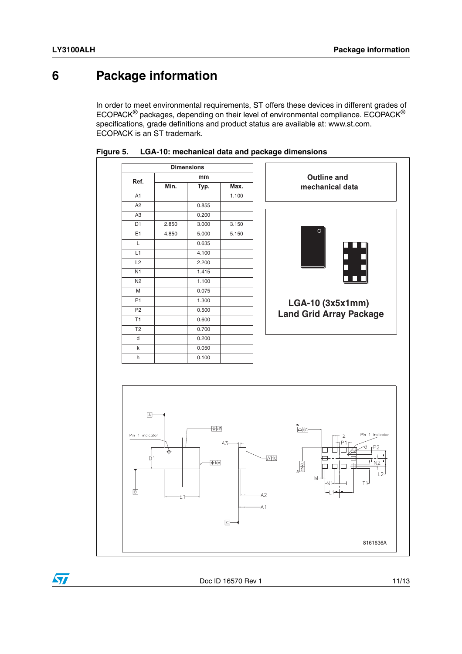#### <span id="page-10-0"></span>**6 Package information**

In order to meet environmental requirements, ST offers these devices in different grades of ECOPACK® packages, depending on their level of environmental compliance. ECOPACK® specifications, grade definitions and product status are available at: www.st.com. ECOPACK is an ST trademark.







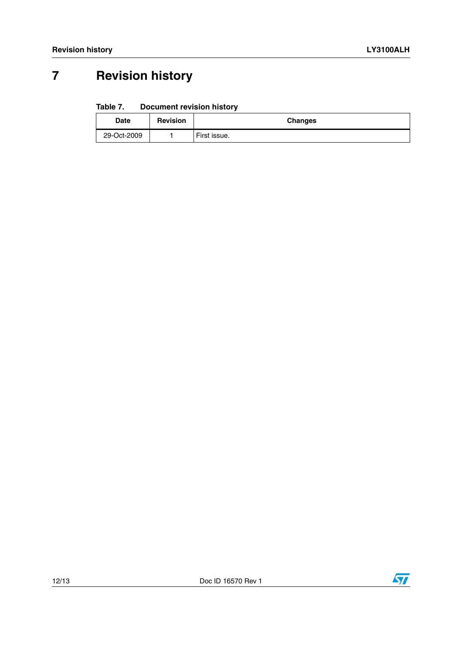## <span id="page-11-0"></span>**7 Revision history**

#### Table 7. **Document revision history**

| Date        | <b>Revision</b> | <b>Changes</b> |
|-------------|-----------------|----------------|
| 29-Oct-2009 |                 | First issue.   |